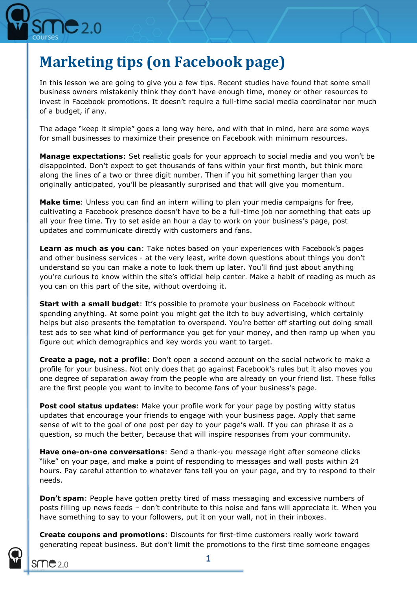

## **Marketing tips (on Facebook page)**

In this lesson we are going to give you a few tips. Recent studies have found that some small business owners mistakenly think they don't have enough time, money or other resources to invest in Facebook promotions. It doesn't require a full-time social media coordinator nor much of a budget, if any.

The adage "keep it simple" goes a long way here, and with that in mind, here are some ways for small businesses to maximize their presence on Facebook with minimum resources.

**Manage expectations**: Set realistic goals for your approach to social media and you won't be disappointed. Don't expect to get thousands of fans within your first month, but think more along the lines of a two or three digit number. Then if you hit something larger than you originally anticipated, you'll be pleasantly surprised and that will give you momentum.

**Make time**: Unless you can find an intern willing to plan your media campaigns for free, cultivating a Facebook presence doesn't have to be a full-time job nor something that eats up all your free time. Try to set aside an hour a day to work on your business's page, post updates and communicate directly with customers and fans.

**Learn as much as you can**: Take notes based on your experiences with Facebook's pages and other business services - at the very least, write down questions about things you don't understand so you can make a note to look them up later. You'll find just about anything you're curious to know within the site's official help center. Make a habit of reading as much as you can on this part of the site, without overdoing it.

**Start with a small budget:** It's possible to promote your business on Facebook without spending anything. At some point you might get the itch to buy advertising, which certainly helps but also presents the temptation to overspend. You're better off starting out doing small test ads to see what kind of performance you get for your money, and then ramp up when you figure out which demographics and key words you want to target.

**Create a page, not a profile**: Don't open a second account on the social network to make a profile for your business. Not only does that go against Facebook's rules but it also moves you one degree of separation away from the people who are already on your friend list. These folks are the first people you want to invite to become fans of your business's page.

**Post cool status updates:** Make your profile work for your page by posting witty status updates that encourage your friends to engage with your business page. Apply that same sense of wit to the goal of one post per day to your page's wall. If you can phrase it as a question, so much the better, because that will inspire responses from your community.

**Have one-on-one conversations**: Send a thank-you message right after someone clicks "like" on your page, and make a point of responding to messages and wall posts within 24 hours. Pay careful attention to whatever fans tell you on your page, and try to respond to their needs.

**Don't spam**: People have gotten pretty tired of mass messaging and excessive numbers of posts filling up news feeds – don't contribute to this noise and fans will appreciate it. When you have something to say to your followers, put it on your wall, not in their inboxes.

**Create coupons and promotions**: Discounts for first-time customers really work toward generating repeat business. But don't limit the promotions to the first time someone engages